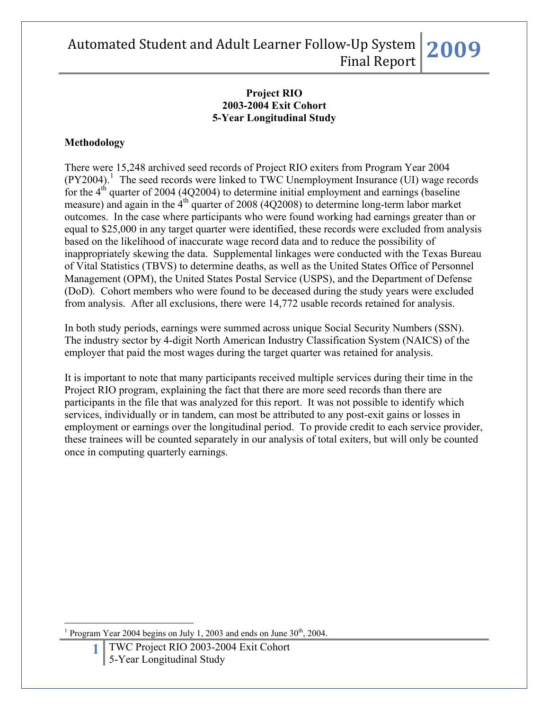#### **Project RIO 2003-2004 Exit Cohort 5-Year Longitudinal Study**

### **Methodology**

There were 15,248 archived seed records of Project RIO exiters from Program Year 2004  $(PY2004).$ <sup>[1](#page-0-0)</sup> The seed records were linked to TWC Unemployment Insurance (UI) wage records for the  $4<sup>th</sup>$  quarter of 2004 (4Q2004) to determine initial employment and earnings (baseline measure) and again in the  $4<sup>th</sup>$  quarter of 2008 (4O2008) to determine long-term labor market outcomes. In the case where participants who were found working had earnings greater than or equal to \$25,000 in any target quarter were identified, these records were excluded from analysis based on the likelihood of inaccurate wage record data and to reduce the possibility of inappropriately skewing the data. Supplemental linkages were conducted with the Texas Bureau of Vital Statistics (TBVS) to determine deaths, as well as the United States Office of Personnel Management (OPM), the United States Postal Service (USPS), and the Department of Defense (DoD). Cohort members who were found to be deceased during the study years were excluded from analysis. After all exclusions, there were 14,772 usable records retained for analysis.

In both study periods, earnings were summed across unique Social Security Numbers (SSN). The industry sector by 4-digit North American Industry Classification System (NAICS) of the employer that paid the most wages during the target quarter was retained for analysis.

It is important to note that many participants received multiple services during their time in the Project RIO program, explaining the fact that there are more seed records than there are participants in the file that was analyzed for this report. It was not possible to identify which services, individually or in tandem, can most be attributed to any post-exit gains or losses in employment or earnings over the longitudinal period. To provide credit to each service provider, these trainees will be counted separately in our analysis of total exiters, but will only be counted once in computing quarterly earnings.

<span id="page-0-0"></span> $\overline{a}$ 1 Program Year 2004 begins on July 1, 2003 and ends on June  $30<sup>th</sup>$ , 2004.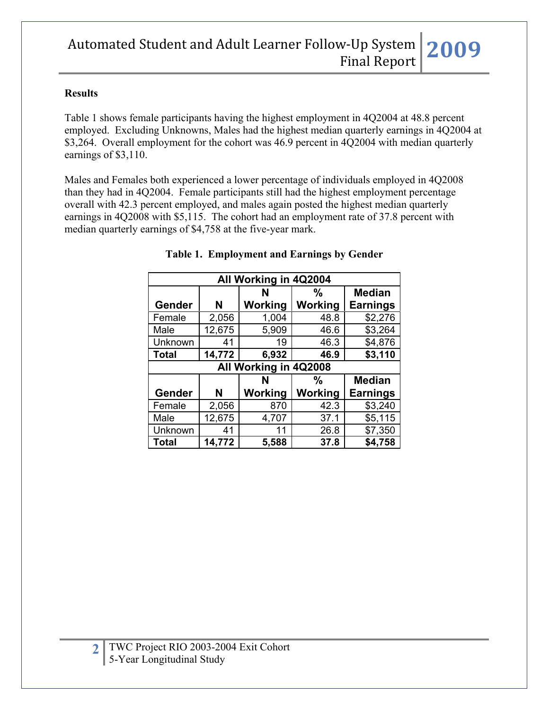#### **Results**

Table 1 shows female participants having the highest employment in 4Q2004 at 48.8 percent employed. Excluding Unknowns, Males had the highest median quarterly earnings in 4Q2004 at \$3,264. Overall employment for the cohort was 46.9 percent in 4Q2004 with median quarterly earnings of \$3,110.

Males and Females both experienced a lower percentage of individuals employed in 4Q2008 than they had in 4Q2004. Female participants still had the highest employment percentage overall with 42.3 percent employed, and males again posted the highest median quarterly earnings in 4Q2008 with \$5,115. The cohort had an employment rate of 37.8 percent with median quarterly earnings of \$4,758 at the five-year mark.

| All Working in 4Q2004   |        |         |         |                 |  |  |  |  |
|-------------------------|--------|---------|---------|-----------------|--|--|--|--|
| <b>Median</b><br>%<br>N |        |         |         |                 |  |  |  |  |
| Gender                  | N      | Working | Working | <b>Earnings</b> |  |  |  |  |
| Female                  | 2,056  | 1,004   | 48.8    | \$2,276         |  |  |  |  |
| Male                    | 12,675 | 5,909   | 46.6    | \$3,264         |  |  |  |  |
| Unknown                 | 41     | 19      | 46.3    | \$4,876         |  |  |  |  |
| <b>Total</b>            | 14,772 | 6,932   | 46.9    | \$3,110         |  |  |  |  |
| All Working in 4Q2008   |        |         |         |                 |  |  |  |  |
|                         |        |         |         |                 |  |  |  |  |
|                         |        | N       | %       | <b>Median</b>   |  |  |  |  |
| Gender                  | N      | Working | Working | <b>Earnings</b> |  |  |  |  |
| Female                  | 2,056  | 870     | 42.3    | \$3,240         |  |  |  |  |
| Male                    | 12,675 | 4,707   | 37.1    | \$5,115         |  |  |  |  |
| Unknown                 | 41     | 11      | 26.8    | \$7,350         |  |  |  |  |

#### **Table 1. Employment and Earnings by Gender**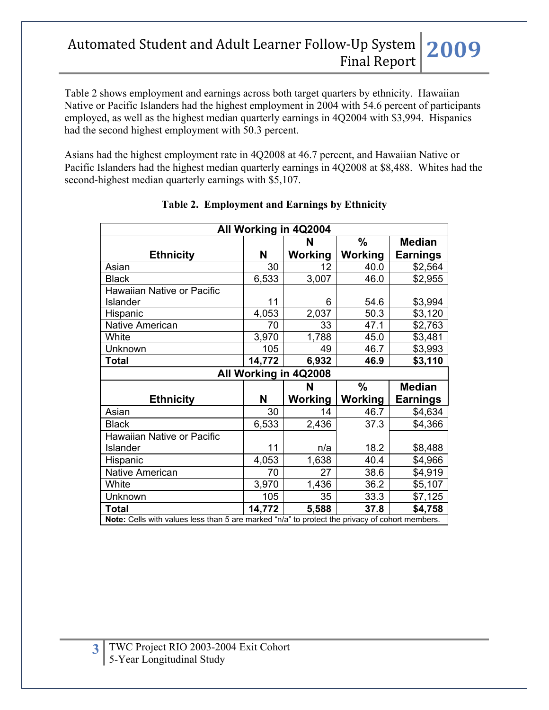Table 2 shows employment and earnings across both target quarters by ethnicity. Hawaiian Native or Pacific Islanders had the highest employment in 2004 with 54.6 percent of participants employed, as well as the highest median quarterly earnings in 4Q2004 with \$3,994. Hispanics had the second highest employment with 50.3 percent.

Asians had the highest employment rate in 4Q2008 at 46.7 percent, and Hawaiian Native or Pacific Islanders had the highest median quarterly earnings in 4Q2008 at \$8,488. Whites had the second-highest median quarterly earnings with \$5,107.

| All Working in 4Q2004                                                                          |        |                       |         |                 |  |  |  |
|------------------------------------------------------------------------------------------------|--------|-----------------------|---------|-----------------|--|--|--|
|                                                                                                |        | N                     | $\%$    | <b>Median</b>   |  |  |  |
| <b>Ethnicity</b>                                                                               | N      | Working               | Working | <b>Earnings</b> |  |  |  |
| Asian                                                                                          | 30     | 12                    | 40.0    | \$2,564         |  |  |  |
| <b>Black</b>                                                                                   | 6,533  | 3,007                 | 46.0    | \$2,955         |  |  |  |
| Hawaiian Native or Pacific                                                                     |        |                       |         |                 |  |  |  |
| <b>Islander</b>                                                                                | 11     | 6                     | 54.6    | \$3,994         |  |  |  |
| Hispanic                                                                                       | 4,053  | 2,037                 | 50.3    | \$3,120         |  |  |  |
| <b>Native American</b>                                                                         | 70     | 33                    | 47.1    | \$2,763         |  |  |  |
| White                                                                                          | 3,970  | 1,788                 | 45.0    | \$3,481         |  |  |  |
| Unknown                                                                                        | 105    | 49                    | 46.7    | \$3,993         |  |  |  |
| <b>Total</b>                                                                                   | 14,772 | 6,932                 | 46.9    | \$3,110         |  |  |  |
|                                                                                                |        | All Working in 4Q2008 |         |                 |  |  |  |
|                                                                                                |        | N                     | $\%$    | <b>Median</b>   |  |  |  |
| <b>Ethnicity</b>                                                                               | N      | <b>Working</b>        | Working | <b>Earnings</b> |  |  |  |
| Asian                                                                                          | 30     | 14                    | 46.7    | \$4,634         |  |  |  |
| <b>Black</b>                                                                                   | 6,533  | 2,436                 | 37.3    | \$4,366         |  |  |  |
| Hawaiian Native or Pacific                                                                     |        |                       |         |                 |  |  |  |
| Islander                                                                                       | 11     | n/a                   | 18.2    | \$8,488         |  |  |  |
| Hispanic                                                                                       | 4,053  | 1,638                 | 40.4    | \$4,966         |  |  |  |
| Native American                                                                                | 70     | 27                    | 38.6    | \$4,919         |  |  |  |
| White                                                                                          | 3,970  | 1,436                 | 36.2    | \$5,107         |  |  |  |
| Unknown                                                                                        | 105    | 35                    | 33.3    | \$7,125         |  |  |  |
| <b>Total</b>                                                                                   | 14,772 | 5,588                 | 37.8    | \$4,758         |  |  |  |
| Note: Cells with values less than 5 are marked "n/a" to protect the privacy of cohort members. |        |                       |         |                 |  |  |  |

### **Table 2. Employment and Earnings by Ethnicity**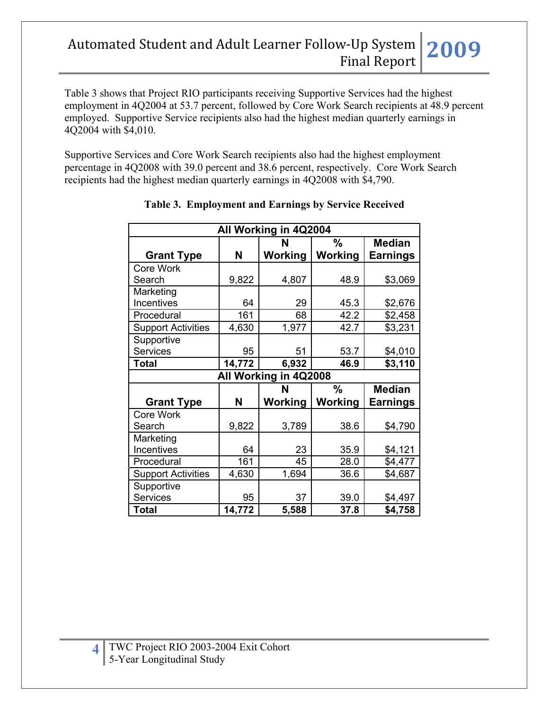Table 3 shows that Project RIO participants receiving Supportive Services had the highest employment in 4Q2004 at 53.7 percent, followed by Core Work Search recipients at 48.9 percent employed. Supportive Service recipients also had the highest median quarterly earnings in 4Q2004 with \$4,010.

Supportive Services and Core Work Search recipients also had the highest employment percentage in 4Q2008 with 39.0 percent and 38.6 percent, respectively. Core Work Search recipients had the highest median quarterly earnings in 4Q2008 with \$4,790.

| All Working in 4Q2004     |        |                       |               |                 |  |  |  |
|---------------------------|--------|-----------------------|---------------|-----------------|--|--|--|
|                           |        | N                     | $\%$          | <b>Median</b>   |  |  |  |
| <b>Grant Type</b>         | N      | Working               | Working       | <b>Earnings</b> |  |  |  |
| Core Work                 |        |                       |               |                 |  |  |  |
| Search                    | 9,822  | 4,807                 | 48.9          | \$3,069         |  |  |  |
| Marketing                 |        |                       |               |                 |  |  |  |
| Incentives                | 64     | 29                    | 45.3          | \$2,676         |  |  |  |
| Procedural                | 161    | 68                    | 42.2          | \$2,458         |  |  |  |
| <b>Support Activities</b> | 4,630  | 1,977                 | 42.7          | \$3,231         |  |  |  |
| Supportive                |        |                       |               |                 |  |  |  |
| <b>Services</b>           | 95     | 51                    | 53.7          | \$4,010         |  |  |  |
| <b>Total</b>              | 14,772 | 6,932                 | 46.9          | \$3,110         |  |  |  |
|                           |        | All Working in 4Q2008 |               |                 |  |  |  |
|                           |        | N                     | $\frac{0}{0}$ | <b>Median</b>   |  |  |  |
| <b>Grant Type</b>         | N      | Working               | Working       | <b>Earnings</b> |  |  |  |
|                           |        |                       |               |                 |  |  |  |
| Core Work                 |        |                       |               |                 |  |  |  |
| Search                    | 9,822  | 3,789                 | 38.6          | \$4,790         |  |  |  |
| Marketing                 |        |                       |               |                 |  |  |  |
| Incentives                | 64     | 23                    | 35.9          | \$4,121         |  |  |  |
| Procedural                | 161    | 45                    | 28.0          | \$4,477         |  |  |  |
| <b>Support Activities</b> | 4,630  | 1,694                 | 36.6          | \$4,687         |  |  |  |
| Supportive                |        |                       |               |                 |  |  |  |
| <b>Services</b>           | 95     | 37                    | 39.0          | \$4,497         |  |  |  |

### **Table 3. Employment and Earnings by Service Received**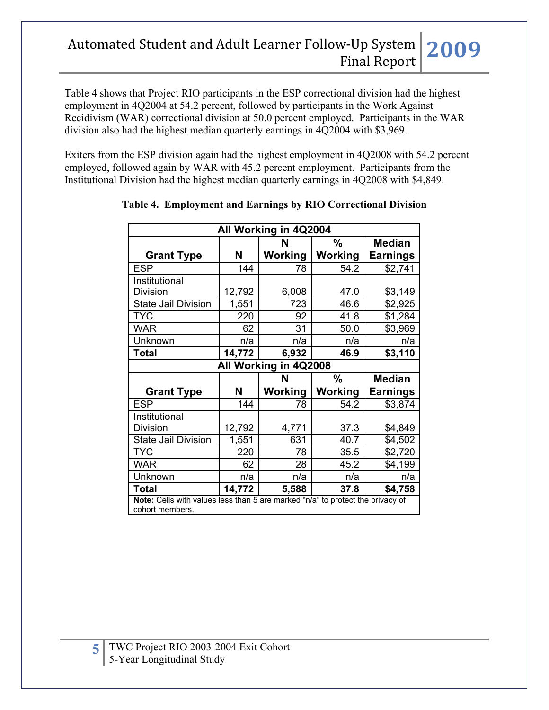Table 4 shows that Project RIO participants in the ESP correctional division had the highest employment in 4Q2004 at 54.2 percent, followed by participants in the Work Against Recidivism (WAR) correctional division at 50.0 percent employed. Participants in the WAR division also had the highest median quarterly earnings in 4Q2004 with \$3,969.

Exiters from the ESP division again had the highest employment in 4Q2008 with 54.2 percent employed, followed again by WAR with 45.2 percent employment. Participants from the Institutional Division had the highest median quarterly earnings in 4Q2008 with \$4,849.

| All Working in 4Q2004                                                          |                                     |                       |         |                 |  |  |  |
|--------------------------------------------------------------------------------|-------------------------------------|-----------------------|---------|-----------------|--|--|--|
|                                                                                |                                     | N                     | %       | <b>Median</b>   |  |  |  |
| <b>Grant Type</b>                                                              | N                                   | Working               | Working | <b>Earnings</b> |  |  |  |
| <b>ESP</b>                                                                     | 144                                 | 78                    | 54.2    | \$2,741         |  |  |  |
| Institutional                                                                  |                                     |                       |         |                 |  |  |  |
| <b>Division</b>                                                                | 12,792                              | 6,008                 | 47.0    | \$3,149         |  |  |  |
| State Jail Division                                                            | 1,551                               | 723                   | 46.6    | \$2,925         |  |  |  |
| <b>TYC</b>                                                                     | 220                                 | 92                    | 41.8    | \$1,284         |  |  |  |
| <b>WAR</b>                                                                     | 62                                  | 31                    | 50.0    | \$3,969         |  |  |  |
| Unknown                                                                        | n/a                                 | n/a                   | n/a     | n/a             |  |  |  |
| <b>Total</b>                                                                   | 14,772                              | 6,932                 | 46.9    | \$3,110         |  |  |  |
|                                                                                |                                     | All Working in 4Q2008 |         |                 |  |  |  |
|                                                                                | $\frac{0}{0}$<br><b>Median</b><br>N |                       |         |                 |  |  |  |
| <b>Grant Type</b>                                                              | N                                   | Working               | Working | <b>Earnings</b> |  |  |  |
| <b>ESP</b>                                                                     | 144                                 | 78                    | 54.2    | \$3,874         |  |  |  |
| Institutional                                                                  |                                     |                       |         |                 |  |  |  |
| <b>Division</b>                                                                | 12,792                              | 4,771                 | 37.3    | \$4,849         |  |  |  |
| <b>State Jail Division</b>                                                     | 1,551                               | 631                   | 40.7    | \$4,502         |  |  |  |
| <b>TYC</b>                                                                     | 220                                 | 78                    | 35.5    | \$2,720         |  |  |  |
| <b>WAR</b>                                                                     | 62                                  | 28                    | 45.2    | \$4,199         |  |  |  |
| Unknown                                                                        | n/a                                 | n/a                   | n/a     | n/a             |  |  |  |
| <b>Total</b>                                                                   | 14,772                              | 5,588                 | 37.8    | \$4,758         |  |  |  |
| Note: Cells with values less than 5 are marked "n/a" to protect the privacy of |                                     |                       |         |                 |  |  |  |
| cohort members.                                                                |                                     |                       |         |                 |  |  |  |

### **Table 4. Employment and Earnings by RIO Correctional Division**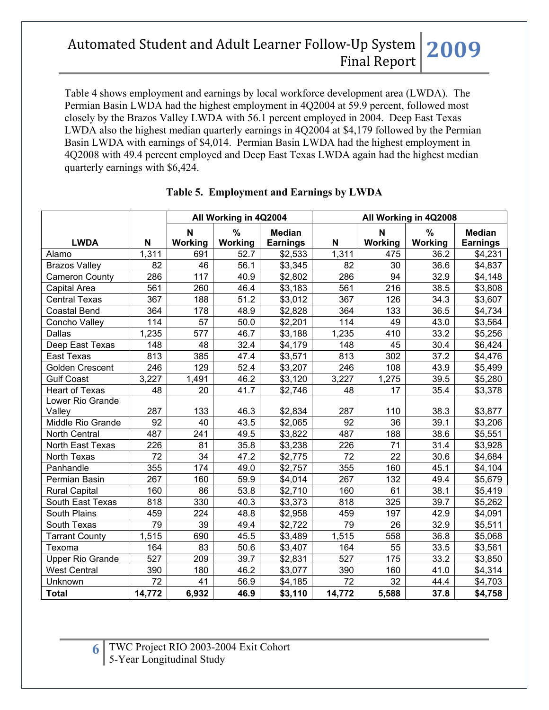Table 4 shows employment and earnings by local workforce development area (LWDA). The Permian Basin LWDA had the highest employment in 4Q2004 at 59.9 percent, followed most closely by the Brazos Valley LWDA with 56.1 percent employed in 2004. Deep East Texas LWDA also the highest median quarterly earnings in 4Q2004 at \$4,179 followed by the Permian Basin LWDA with earnings of \$4,014. Permian Basin LWDA had the highest employment in 4Q2008 with 49.4 percent employed and Deep East Texas LWDA again had the highest median quarterly earnings with \$6,424.

|                         |        | All Working in 4Q2004<br>All Working in 4Q2008 |              |                                  |        |                 |              |                                  |
|-------------------------|--------|------------------------------------------------|--------------|----------------------------------|--------|-----------------|--------------|----------------------------------|
| <b>LWDA</b>             | N      | N<br>Working                                   | %<br>Working | <b>Median</b><br><b>Earnings</b> | N      | N<br>Working    | %<br>Working | <b>Median</b><br><b>Earnings</b> |
| Alamo                   | 1,311  | 691                                            | 52.7         | \$2,533                          | 1,311  | 475             | 36.2         | \$4,231                          |
| <b>Brazos Valley</b>    | 82     | 46                                             | 56.1         | \$3,345                          | 82     | 30              | 36.6         | \$4,837                          |
| <b>Cameron County</b>   | 286    | 117                                            | 40.9         | \$2,802                          | 286    | 94              | 32.9         | \$4,148                          |
| Capital Area            | 561    | 260                                            | 46.4         | \$3,183                          | 561    | 216             | 38.5         | \$3,808                          |
| <b>Central Texas</b>    | 367    | 188                                            | 51.2         | \$3,012                          | 367    | 126             | 34.3         | \$3,607                          |
| <b>Coastal Bend</b>     | 364    | 178                                            | 48.9         | \$2,828                          | 364    | 133             | 36.5         | \$4,734                          |
| Concho Valley           | 114    | 57                                             | 50.0         | \$2,201                          | 114    | 49              | 43.0         | \$3,564                          |
| Dallas                  | 1,235  | 577                                            | 46.7         | \$3,188                          | 1,235  | 410             | 33.2         | \$5,256                          |
| Deep East Texas         | 148    | 48                                             | 32.4         | \$4,179                          | 148    | 45              | 30.4         | \$6,424                          |
| <b>East Texas</b>       | 813    | 385                                            | 47.4         | \$3,571                          | 813    | 302             | 37.2         | \$4,476                          |
| <b>Golden Crescent</b>  | 246    | 129                                            | 52.4         | \$3,207                          | 246    | 108             | 43.9         | \$5,499                          |
| <b>Gulf Coast</b>       | 3,227  | 1,491                                          | 46.2         | \$3,120                          | 3,227  | 1,275           | 39.5         | \$5,280                          |
| <b>Heart of Texas</b>   | 48     | 20                                             | 41.7         | \$2,746                          | 48     | $\overline{17}$ | 35.4         | \$3,378                          |
| Lower Rio Grande        |        |                                                |              |                                  |        |                 |              |                                  |
| Valley                  | 287    | 133                                            | 46.3         | \$2,834                          | 287    | 110             | 38.3         | \$3,877                          |
| Middle Rio Grande       | 92     | 40                                             | 43.5         | \$2,065                          | 92     | 36              | 39.1         | \$3,206                          |
| North Central           | 487    | 241                                            | 49.5         | \$3,822                          | 487    | 188             | 38.6         | \$5,551                          |
| North East Texas        | 226    | 81                                             | 35.8         | \$3,238                          | 226    | 71              | 31.4         | \$3,928                          |
| North Texas             | 72     | 34                                             | 47.2         | \$2,775                          | 72     | 22              | 30.6         | \$4,684                          |
| Panhandle               | 355    | 174                                            | 49.0         | \$2,757                          | 355    | 160             | 45.1         | \$4,104                          |
| Permian Basin           | 267    | 160                                            | 59.9         | \$4,014                          | 267    | 132             | 49.4         | \$5,679                          |
| <b>Rural Capital</b>    | 160    | 86                                             | 53.8         | \$2,710                          | 160    | 61              | 38.1         | \$5,419                          |
| South East Texas        | 818    | 330                                            | 40.3         | \$3,373                          | 818    | 325             | 39.7         | \$5,262                          |
| South Plains            | 459    | 224                                            | 48.8         | \$2,958                          | 459    | 197             | 42.9         | \$4,091                          |
| South Texas             | 79     | 39                                             | 49.4         | \$2,722                          | 79     | 26              | 32.9         | \$5,511                          |
| <b>Tarrant County</b>   | 1,515  | 690                                            | 45.5         | \$3,489                          | 1,515  | 558             | 36.8         | \$5,068                          |
| Texoma                  | 164    | 83                                             | 50.6         | \$3,407                          | 164    | 55              | 33.5         | \$3,561                          |
| <b>Upper Rio Grande</b> | 527    | 209                                            | 39.7         | \$2,831                          | 527    | 175             | 33.2         | \$3,850                          |
| <b>West Central</b>     | 390    | 180                                            | 46.2         | \$3,077                          | 390    | 160             | 41.0         | \$4,314                          |
| Unknown                 | 72     | 41                                             | 56.9         | \$4,185                          | 72     | 32              | 44.4         | \$4,703                          |
| <b>Total</b>            | 14,772 | 6,932                                          | 46.9         | \$3,110                          | 14,772 | 5,588           | 37.8         | \$4,758                          |

### **Table 5. Employment and Earnings by LWDA**

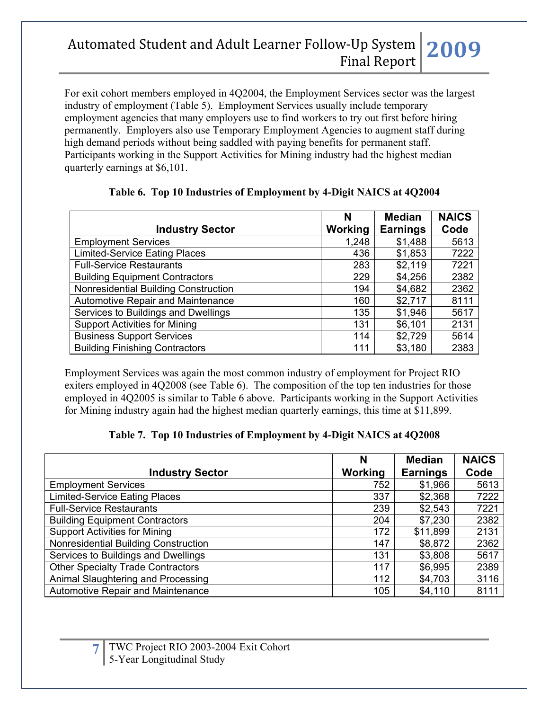For exit cohort members employed in 4Q2004, the Employment Services sector was the largest industry of employment (Table 5). Employment Services usually include temporary employment agencies that many employers use to find workers to try out first before hiring permanently. Employers also use Temporary Employment Agencies to augment staff during high demand periods without being saddled with paying benefits for permanent staff. Participants working in the Support Activities for Mining industry had the highest median quarterly earnings at \$6,101.

|                                       | N       | <b>Median</b>   | <b>NAICS</b> |
|---------------------------------------|---------|-----------------|--------------|
| <b>Industry Sector</b>                | Working | <b>Earnings</b> | Code         |
| <b>Employment Services</b>            | 1,248   | \$1,488         | 5613         |
| <b>Limited-Service Eating Places</b>  | 436     | \$1,853         | 7222         |
| <b>Full-Service Restaurants</b>       | 283     | \$2,119         | 7221         |
| <b>Building Equipment Contractors</b> | 229     | \$4,256         | 2382         |
| Nonresidential Building Construction  | 194     | \$4,682         | 2362         |
| Automotive Repair and Maintenance     | 160     | \$2,717         | 8111         |
| Services to Buildings and Dwellings   | 135     | \$1,946         | 5617         |
| <b>Support Activities for Mining</b>  | 131     | \$6,101         | 2131         |
| <b>Business Support Services</b>      | 114     | \$2,729         | 5614         |
| <b>Building Finishing Contractors</b> | 111     | \$3,180         | 2383         |

### **Table 6. Top 10 Industries of Employment by 4-Digit NAICS at 4Q2004**

Employment Services was again the most common industry of employment for Project RIO exiters employed in 4Q2008 (see Table 6). The composition of the top ten industries for those employed in 4Q2005 is similar to Table 6 above. Participants working in the Support Activities for Mining industry again had the highest median quarterly earnings, this time at \$11,899.

### **Table 7. Top 10 Industries of Employment by 4-Digit NAICS at 4Q2008**

|                                          | N       | <b>Median</b>   | <b>NAICS</b> |
|------------------------------------------|---------|-----------------|--------------|
| <b>Industry Sector</b>                   | Working | <b>Earnings</b> | Code         |
| <b>Employment Services</b>               | 752     | \$1,966         | 5613         |
| <b>Limited-Service Eating Places</b>     | 337     | \$2,368         | 7222         |
| <b>Full-Service Restaurants</b>          | 239     | \$2,543         | 7221         |
| <b>Building Equipment Contractors</b>    | 204     | \$7,230         | 2382         |
| <b>Support Activities for Mining</b>     | 172     | \$11,899        | 2131         |
| Nonresidential Building Construction     | 147     | \$8,872         | 2362         |
| Services to Buildings and Dwellings      | 131     | \$3,808         | 5617         |
| <b>Other Specialty Trade Contractors</b> | 117     | \$6,995         | 2389         |
| Animal Slaughtering and Processing       | 112     | \$4,703         | 3116         |
| <b>Automotive Repair and Maintenance</b> | 105     | \$4,110         | 8111         |